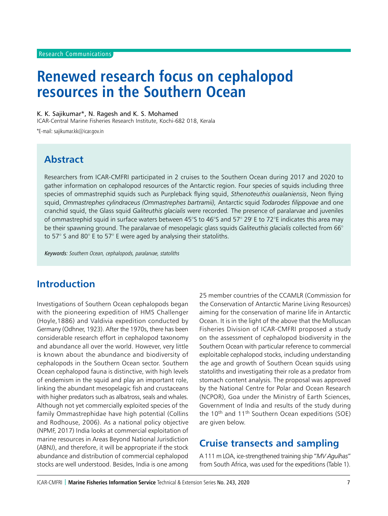# **Renewed research focus on cephalopod resources in the Southern Ocean**

K. K. Sajikumar\*, N. Ragesh and K. S. Mohamed

ICAR-Central Marine Fisheries Research Institute, Kochi-682 018, Kerala

\*E-mail: sajikumar.kk@icar.gov.in

## **Abstract**

Researchers from ICAR-CMFRI participated in 2 cruises to the Southern Ocean during 2017 and 2020 to gather information on cephalopod resources of the Antarctic region. Four species of squids including three species of ommastrephid squids such as Purpleback flying squid, *Sthenoteuthis oualaniensis*, Neon flying squid, *Ommastrephes cylindraceus (Ommastrephes bartramii),* Antarctic squid *Todarodes filippovae* and one cranchid squid, the Glass squid *Galiteuthis glacialis* were recorded*.* The presence of paralarvae and juveniles of ommastrephid squid in surface waters between 45°S to 46°S and 57° 29' E to 72°E indicates this area may be their spawning ground. The paralarvae of mesopelagic glass squids *Galiteuthis glacialis* collected from 66° to 57° S and 80° E to 57° E were aged by analysing their statoliths.

Keywords: Southern Ocean, cephalopods, paralarvae, statoliths

## **Introduction**

Investigations of Southern Ocean cephalopods began with the pioneering expedition of HMS Challenger (Hoyle,1886) and Valdivia expedition conducted by Germany (Odhner, 1923). After the 1970s, there has been considerable research effort in cephalopod taxonomy and abundance all over the world. However, very little is known about the abundance and biodiversity of cephalopods in the Southern Ocean sector. Southern Ocean cephalopod fauna is distinctive, with high levels of endemism in the squid and play an important role, linking the abundant mesopelagic fish and crustaceans with higher predators such as albatross, seals and whales. Although not yet commercially exploited species of the family Ommastrephidae have high potential (Collins and Rodhouse, 2006). As a national policy objective (NPMF, 2017) India looks at commercial exploitation of marine resources in Areas Beyond National Jurisdiction (ABNJ), and therefore, it will be appropriate if the stock abundance and distribution of commercial cephalopod stocks are well understood. Besides, India is one among

25 member countries of the CCAMLR (Commission for the Conservation of Antarctic Marine Living Resources) aiming for the conservation of marine life in Antarctic Ocean. It is in the light of the above that the Molluscan Fisheries Division of ICAR-CMFRI proposed a study on the assessment of cephalopod biodiversity in the Southern Ocean with particular reference to commercial exploitable cephalopod stocks, including understanding the age and growth of Southern Ocean squids using statoliths and investigating their role as a predator from stomach content analysis. The proposal was approved by the National Centre for Polar and Ocean Research (NCPOR), Goa under the Ministry of Earth Sciences, Government of India and results of the study during the  $10^{th}$  and  $11^{th}$  Southern Ocean expeditions (SOE) are given below.

## **Cruise transects and sampling**

A 111 m LOA, ice-strengthened training ship "*MV Agulhas*" from South Africa, was used for the expeditions (Table 1).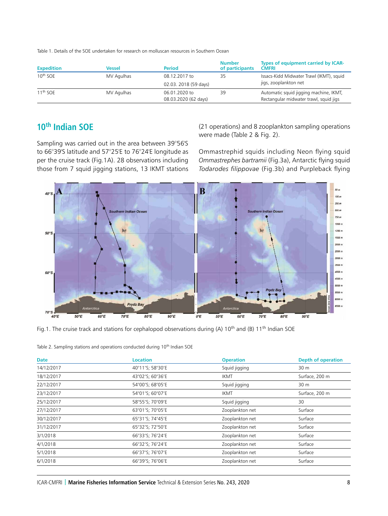Table 1. Details of the SOE undertaken for research on molluscan resources in Southern Ocean

| <b>Expedition</b>    | Vessel     | <b>Period</b>         | <b>Number</b><br>of participants | Types of equipment carried by ICAR-<br><b>CMFRI</b> |
|----------------------|------------|-----------------------|----------------------------------|-----------------------------------------------------|
| 10 <sup>th</sup> SOE | MV Agulhas | 08.12.2017 to         | 35                               | Issacs-Kidd Midwater Trawl (IKMT), squid            |
|                      |            | 02.03. 2018 (59 days) |                                  | jigs, zooplankton net                               |
| 11 <sup>th</sup> SOE | MV Agulhas | 06.01.2020 to         | 39                               | Automatic squid jigging machine, IKMT,              |
|                      |            | 08.03.2020 (62 days)  |                                  | Rectangular midwater trawl, squid jigs              |

## **10th Indian SOE**

Sampling was carried out in the area between 39°56'S to 66°39'S latitude and 57°25'E to 76°24'E longitude as per the cruise track (Fig.1A). 28 observations including those from 7 squid jigging stations, 13 IKMT stations

(21 operations) and 8 zooplankton sampling operations were made (Table 2 & Fig. 2).

Ommastrephid squids including Neon flying squid *Ommastrephes bartramii* (Fig.3a), Antarctic flying squid *Todarodes filippovae* (Fig.3b) and Purpleback flying



Fig.1. The cruise track and stations for cephalopod observations during (A) 10<sup>th</sup> and (B) 11<sup>th</sup> Indian SOE

| <b>Date</b> | <b>Location</b>  | <b>Operation</b> | <b>Depth of operation</b> |
|-------------|------------------|------------------|---------------------------|
| 14/12/2017  | 40°11'S; 58°30'E | Squid jigging    | 30 m                      |
| 18/12/2017  | 43°02'S; 60°36'E | <b>IKMT</b>      | Surface, 200 m            |
| 22/12/2017  | 54°00'S; 68°05'E | Squid jigging    | 30 m                      |
| 23/12/2017  | 54°01'S; 60°07'E | <b>IKMT</b>      | Surface, 200 m            |
| 25/12/2017  | 58°55'S; 70°09'E | Squid jigging    | 30                        |
| 27/12/2017  | 63°01'S; 70°05'E | Zooplankton net  | Surface                   |
| 30/12/2017  | 65°31'S; 74°45'E | Zooplankton net  | Surface                   |
| 31/12/2017  | 65°32'S; 72°50'E | Zooplankton net  | Surface                   |
| 3/1/2018    | 66°33'S; 76°24'E | Zooplankton net  | Surface                   |
| 4/1/2018    | 66°32'S; 76°24'E | Zooplankton net  | Surface                   |
| 5/1/2018    | 66°37'S; 76°07'E | Zooplankton net  | Surface                   |
| 6/1/2018    | 66°39'S; 76°06'E | Zooplankton net  | Surface                   |

|  |  |  | Table 2. Sampling stations and operations conducted during 10 <sup>th</sup> Indian SOE |  |
|--|--|--|----------------------------------------------------------------------------------------|--|
|--|--|--|----------------------------------------------------------------------------------------|--|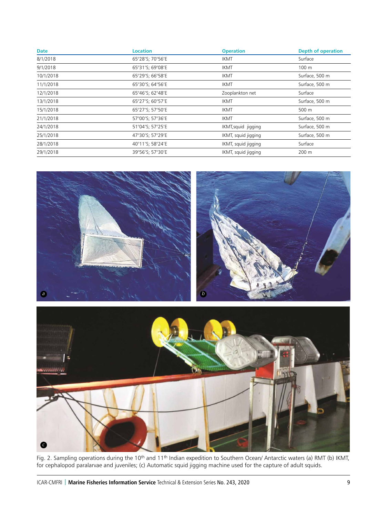| Date      | <b>Location</b>  | <b>Operation</b>    | Depth of operation |
|-----------|------------------|---------------------|--------------------|
| 8/1/2018  | 65°28'S; 70°56'E | <b>IKMT</b>         | Surface            |
| 9/1/2018  | 65°31'S; 69°08'E | <b>IKMT</b>         | 100 <sub>m</sub>   |
| 10/1/2018 | 65°29'S; 66°58'E | <b>IKMT</b>         | Surface, 500 m     |
| 11/1/2018 | 65°30'S; 64°56'E | <b>IKMT</b>         | Surface, 500 m     |
| 12/1/2018 | 65°46'S; 62°48'E | Zooplankton net     | Surface            |
| 13/1/2018 | 65°27'S; 60°57'E | <b>IKMT</b>         | Surface, 500 m     |
| 15/1/2018 | 65°27'S; 57°50'E | <b>IKMT</b>         | 500 m              |
| 21/1/2018 | 57°00'S; 57°36'E | <b>IKMT</b>         | Surface, 500 m     |
| 24/1/2018 | 51°04'S; 57°25'E | IKMT, squid jigging | Surface, 500 m     |
| 25/1/2018 | 47°30'S; 57°29'E | IKMT, squid jigging | Surface, 500 m     |
| 28/1/2018 | 40°11'S; 58°24'E | IKMT, squid jigging | Surface            |
| 29/1/2018 | 39°56'S; 57°30'E | IKMT, squid jigging | 200 m              |



Fig. 2. Sampling operations during the 10<sup>th</sup> and 11<sup>th</sup> Indian expedition to Southern Ocean/ Antarctic waters (a) RMT (b) IKMT, for cephalopod paralarvae and juveniles; (c) Automatic squid jigging machine used for the capture of adult squids.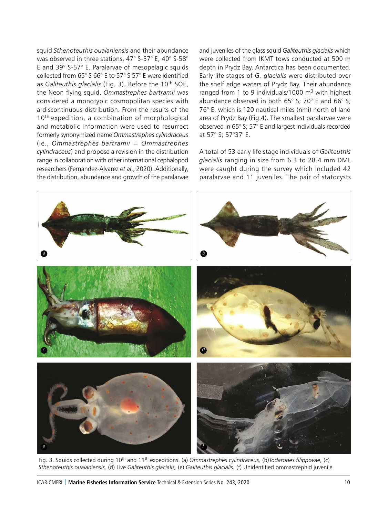squid *Sthenoteuthis oualaniensis* and their abundance was observed in three stations, 47° S-57° E, 40° S-58° E and 39° S-57° E. Paralarvae of mesopelagic squids collected from 65° S 66° E to 57° S 57° E were identified as *Galiteuthis glacialis* (Fig. 3). Before the 10th SOE, the Neon flying squid, *Ommastrephes bartramii* was considered a monotypic cosmopolitan species with a discontinuous distribution. From the results of the 10<sup>th</sup> expedition, a combination of morphological and metabolic information were used to resurrect formerly synonymized name *Ommastrephes cylindraceus* (ie., *Ommastrephes bartramii* = *Ommastrephes cylindraceus*) and propose a revision in the distribution range in collaboration with other international cephalopod researchers (Fernandez-Alvarez *et al*., 2020). Additionally, the distribution, abundance and growth of the paralarvae

and juveniles of the glass squid *Galiteuthis glacialis* which were collected from IKMT tows conducted at 500 m depth in Prydz Bay, Antarctica has been documented. Early life stages of *G. glacialis* were distributed over the shelf edge waters of Prydz Bay. Their abundance ranged from 1 to 9 individuals/1000  $m<sup>3</sup>$  with highest abundance observed in both 65° S; 70° E and 66° S; 76° E, which is 120 nautical miles (nmi) north of land area of Prydz Bay (Fig.4). The smallest paralarvae were observed in 65° S; 57° E and largest individuals recorded at 57° S; 57°37' E.

A total of 53 early life stage individuals of *Galiteuthis glacialis* ranging in size from 6.3 to 28.4 mm DML were caught during the survey which included 42 paralarvae and 11 juveniles. The pair of statocysts



Fig. 3. Squids collected during 10th and 11th expeditions. (a) *Ommastrephes cylindraceus,* (b)*Todarodes filippovae,* (c) *Sthenoteuthis oualaniensis,* (d) Live *Galiteuthis glacialis,* (e) *Galiteuthis glacialis,* (f) Unidentified ommastrephid juvenile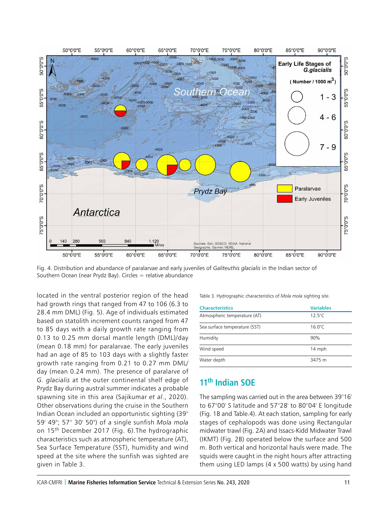

Fig. 4. Distribution and abundance of paralarvae and early juveniles of *Galiteuthis glacialis* in the Indian sector of Southern Ocean (near Prydz Bay). Circles  $=$  relative abundance

located in the ventral posterior region of the head had growth rings that ranged from 47 to 106 (6.3 to 28.4 mm DML) (Fig. 5). Age of individuals estimated based on statolith increment counts ranged from 47 to 85 days with a daily growth rate ranging from 0.13 to 0.25 mm dorsal mantle length (DML)/day (mean 0.18 mm) for paralarvae. The early juveniles had an age of 85 to 103 days with a slightly faster growth rate ranging from 0.21 to 0.27 mm DML/ day (mean 0.24 mm). The presence of paralarve of *G. glacialis* at the outer continental shelf edge of Prydz Bay during austral summer indicates a probable spawning site in this area (Sajikumar *et al*., 2020). Other observations during the cruise in the Southern Indian Ocean included an opportunistic sighting (39° 59' 49"; 57° 30' 50") of a single sunfish *Mola mola* on 15th December 2017 (Fig. 6).The hydrographic characteristics such as atmospheric temperature (AT), Sea Surface Temperature (SST), humidity and wind speed at the site where the sunfish was sighted are given in Table 3.

Table 3. Hydrographic characteristics of *Mola mola* sighting site.

| <b>Characteristics</b>        | <b>Variables</b> |
|-------------------------------|------------------|
| Atmospheric temperature (AT)  | $12.5^{\circ}$ C |
| Sea surface temperature (SST) | $16.0^{\circ}$ C |
| Humidity                      | 90%              |
| Wind speed                    | 14 mph           |
| Water depth                   | 3475 m           |

### **11th Indian SOE**

The sampling was carried out in the area between 39°16' to 67°00' S latitude and 57°28' to 80°04' E longitude (Fig. 1B and Table.4). At each station, sampling for early stages of cephalopods was done using Rectangular midwater trawl (Fig. 2A) and Issacs-Kidd Midwater Trawl (IKMT) (Fig. 2B) operated below the surface and 500 m. Both vertical and horizontal hauls were made. The squids were caught in the night hours after attracting them using LED lamps (4 x 500 watts) by using hand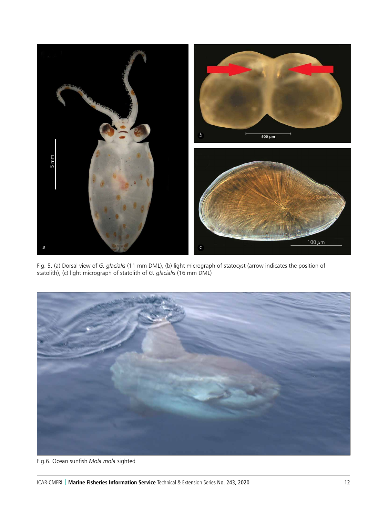

Fig. 5. (a) Dorsal view of *G. glacialis* (11 mm DML), (b) light micrograph of statocyst (arrow indicates the position of statolith), (c) light micrograph of statolith of *G. glacialis* (16 mm DML)



Fig.6. Ocean sunfish *Mola mola* sighted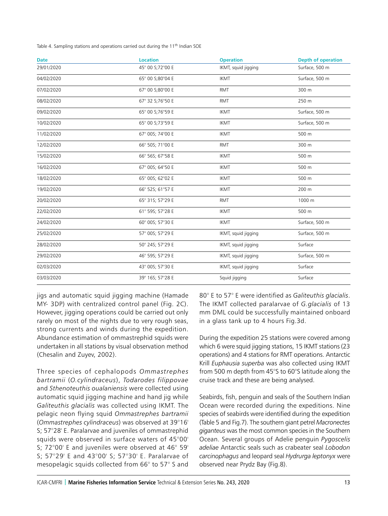Table 4. Sampling stations and operations carried out during the 11<sup>th</sup> Indian SOE

| <b>Date</b> | <b>Location</b>  | <b>Operation</b>    | <b>Depth of operation</b> |
|-------------|------------------|---------------------|---------------------------|
| 29/01/2020  | 45° 00 S;72°00 E | IKMT, squid jigging | Surface, 500 m            |
| 04/02/2020  | 65° 00 S;80°04 E | <b>IKMT</b>         | Surface, 500 m            |
| 07/02/2020  | 67° 00 S;80°00 E | <b>RMT</b>          | 300 m                     |
| 08/02/2020  | 67° 32 S;76°50 E | <b>RMT</b>          | 250 m                     |
| 09/02/2020  | 65° 00 S;76°59 E | <b>IKMT</b>         | Surface, 500 m            |
| 10/02/2020  | 65° 00 S;73°59 E | <b>IKMT</b>         | Surface, 500 m            |
| 11/02/2020  | 67° 00S; 74°00 E | <b>IKMT</b>         | 500 m                     |
| 12/02/2020  | 66° 50S; 71°00 E | <b>RMT</b>          | 300 m                     |
| 15/02/2020  | 66° 56S; 67°58 E | <b>IKMT</b>         | 500 m                     |
| 16/02/2020  | 67° 00S; 64°50 E | <b>IKMT</b>         | 500 m                     |
| 18/02/2020  | 65° 00S; 62°02 E | <b>IKMT</b>         | 500 m                     |
| 19/02/2020  | 66° 52S; 61°57 E | <b>IKMT</b>         | 200 m                     |
| 20/02/2020  | 65° 31S; 57°29 E | <b>RMT</b>          | 1000 m                    |
| 22/02/2020  | 61° 59S; 57°28 E | <b>IKMT</b>         | 500 m                     |
| 24/02/2020  | 60° 00S; 57°30 E | <b>IKMT</b>         | Surface, 500 m            |
| 25/02/2020  | 57° 00S; 57°29 E | IKMT, squid jigging | Surface, 500 m            |
| 28/02/2020  | 50° 24S; 57°29 E | IKMT, squid jigging | Surface                   |
| 29/02/2020  | 46° 59S; 57°29 E | IKMT, squid jigging | Surface, 500 m            |
| 02/03/2020  | 43° 00S; 57°30 E | IKMT, squid jigging | Surface                   |
| 03/03/2020  | 39° 16S; 57°28 E | Squid jigging       | Surface                   |

jigs and automatic squid jigging machine (Hamade MY- 3DP) with centralized control panel (Fig. 2C). However, jigging operations could be carried out only rarely on most of the nights due to very rough seas, strong currents and winds during the expedition. Abundance estimation of ommastrephid squids were undertaken in all stations by visual observation method (Chesalin and Zuyev, 2002).

Three species of cephalopods *Ommastrephes bartramii* (*O.cylindraceus*), *Todarodes filippovae*  and *Sthenoteuthis oualaniensis* were collected using automatic squid jigging machine and hand jig while *Galiteuthis glacialis* was collected using IKMT. The pelagic neon flying squid *Ommastrephes bartramii* (*Ommastrephes cylindraceus*) was observed at 39°16' S; 57°28' E. Paralarvae and juveniles of ommastrephid squids were observed in surface waters of 45°00' S; 72°00' E and juveniles were observed at 46° 59' S; 57°29' E and 43°00' S; 57°30' E. Paralarvae of mesopelagic squids collected from 66° to 57° S and 80° E to 57° E were identified as *Galiteuthis glacialis*. The IKMT collected paralarvae of *G.glacialis* of 13 mm DML could be successfully maintained onboard in a glass tank up to 4 hours Fig.3d.

During the expedition 25 stations were covered among which 6 were squid jigging stations, 15 IKMT stations (23 operations) and 4 stations for RMT operations. Antarctic Krill *Euphausia superba* was also collected using IKMT from 500 m depth from 45°S to 60°S latitude along the cruise track and these are being analysed.

Seabirds, fish, penguin and seals of the Southern Indian Ocean were recorded during the expeditions. Nine species of seabirds were identified during the expedition (Table 5 and Fig.7). The southern giant petrel *Macronectes giganteus* was the most common species in the Southern Ocean. Several groups of Adelie penguin *Pygoscelis adeliae* Antarctic seals such as crabeater seal *Lobodon carcinophagus* and leopard seal *Hydrurga leptonyx* were observed near Prydz Bay (Fig.8).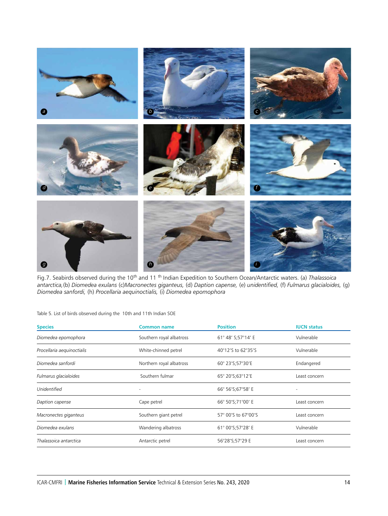

Fig.7. Seabirds observed during the 10th and 11 th Indian Expedition to Southern Ocean/Antarctic waters. (a) *Thalassoica antarctica,*(b) *Diomedea exulans* (c)*Macronectes giganteus,* (d) *Daption capense,* (e) *unidentified,* (f) *Fulmarus glacialoides,* (g) *Diomedea sanfordi,* (h) *Procellaria aequinoctialis,* (i) *Diomedea epomophora*

Table 5. List of birds observed during the 10th and 11th Indian SOE

| <b>Species</b>             | <b>Common name</b>       | <b>Position</b>      | <b>IUCN status</b> |
|----------------------------|--------------------------|----------------------|--------------------|
| Diomedea epomophora        | Southern royal albatross | 61° 48' S;57°14' E   | Vulnerable         |
| Procellaria aequinoctialis | White-chinned petrel     | 40°12'S to 62°35'S   | Vulnerable         |
| Diomedea sanfordi          | Northern royal albatross | 60° 23' S; 57° 30' E | Endangered         |
| Fulmarus glacialoides      | Southern fulmar          | 65° 20'S;63°12'E     | Least concern      |
| Unidentified               |                          | 66° 56' S; 67° 58' E |                    |
| Daption capense            | Cape petrel              | 66° 50'S;71°00' E    | Least concern      |
| Macronectes giganteus      | Southern giant petrel    | 57° 00'S to 67°00'S  | Least concern      |
| Diomedea exulans           | Wandering albatross      | 61° 00'S;57°28' E    | Vulnerable         |
| Thalassoica antarctica     | Antarctic petrel         | 56°28'S;57°29 E      | Least concern      |